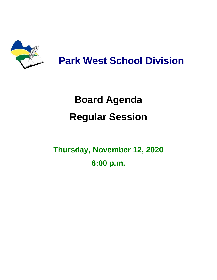

# **Park West School Division**

# **Board Agenda Regular Session**

## **Thursday, November 12, 2020 6:00 p.m.**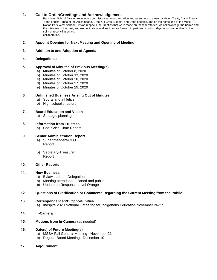#### **1. Call to Order/Greetings and Acknowledgement**

Park West School Division recognizes our history as an organization and as settlers to these Lands on Treaty 2 and Treaty 4, the original lands of the Anishinaabe, Cree, Oji-Cree, Dakota, and Dene peoples, and on the homeland of the Metis Nation.Park West School Division respects the Treaties that were made on these territories, we acknowledge the harms and the mistakes of the past, and we dedicate ourselves to move forward in partnership with Indigenous communities, in the spirit of reconciliation and collaboration.

#### **2. Appoint Opening for Next Meeting and Opening of Meeting**

#### **3. Addition to and Adoption of Agenda**

#### **4. Delegations:**

#### **5. Approval of Minutes of Previous Meeting(s)**

- a) **M**inutes of October 8, 2020
- b) Minutes of October 13, 2020
- c) Minutes of October 20, 2020
- d) Minutes of October 27, 2020
- e) Minutes of October 29, 2020

#### **6. Unfinished Business Arising Out of Minutes**

- a) Sports and athletics
- b) High school structure

#### **7. Board Education and Vision**

a) Strategic planning

#### **8. Information from Trustees**

a) Chair/Vice Chair Report

#### **9. Senior Administration Report**

- a) Superintendent/CEO Report
- b) Secretary-Treasurer Report

#### **10. Other Reports**

#### **11. New Business**

- a) Bylaw update Delegations
- b) Meeting attendance Board and public
- c) Update on Response Level Orange

#### **12. Questions of Clarification or Comments Regarding the Current Meeting from the Public**

#### **13. Correspondence/PD Opportunities** a) Indspire 2020 National Gathering for Indigenous Education November 26-27

- **14. In-Camera**
- **15. Motions from In-Camera** (as needed)

#### **16. Date(s) of Future Meeting(s)**

- a) MSBA Fall General Meeting November 21
- b) Regular Board Meeting December 10
- **17. Adjournment**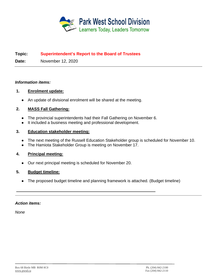

## **Topic: Superintendent's Report to the Board of Trustees**

**Date:** November 12, 2020

## *Information items:*

## **1. Enrolment update:**

● An update of divisional enrolment will be shared at the meeting.

## **2. MASS Fall Gathering:**

- The provincial superintendents had their Fall Gathering on November 6.
- It included a business meeting and professional development.

## **3. Education stakeholder meeting:**

- The next meeting of the Russell Education Stakeholder group is scheduled for November 10.
- The Hamiota Stakeholder Group is meeting on November 17.

## **4. Principal meeting:**

● Our next principal meeting is scheduled for November 20.

## **5. Budget timeline:**

● The proposed budget timeline and planning framework is attached. (Budget timeline)

## *Action items:*

*None*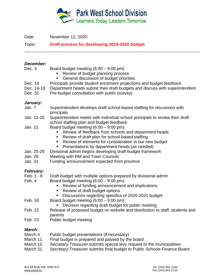

Date: November 12, 2020

Topic: **Draft process for developing 2019-2020 budget**

----------------------------------------------------------------------------------------------------------------------------

### *December:*

| Dec. 3 |  | Board budget meeting $(6:00 - 9:00 \text{ pm})$ : |
|--------|--|---------------------------------------------------|
|--------|--|---------------------------------------------------|

- Review of budget planning process
- **General discussion of budget priorities**
- Dec. 14 Principals provide student enrolment projections and budget feedback
- Dec. 14-18 Department heads submit their draft budgets and discuss with superintendent
- Dec. 31 Pre-budget consultation with public (survey)

## *January:*

- Jan. 7 Superintendent develops draft school-based staffing for discussion with principals
- Jan. 11-15 Superintendent meets with individual school principals to review their draft school staffing plan and budget feedback
- Jan. 21 Board budget meeting  $(6:00 9:00 \text{ pm})$ :
	- **Review of feedback from schools and department heads**
	- Review of draft plan for school-based staffing
	- Review of elements for consideration in our new budget
	- Presentations by department heads (as needed)
- Jan. 25-29 Divisional admin begins developing draft budget framework
- Jan. 28 Meeting with RM and Town Councils
- Jan. 31 Funding announcement expected from province

## *February:*

- Feb. 1 6 Draft budget with multiple options prepared by divisional admin<br>Feb. 4 Board budget meeting (6:00 9:00 pm):
	- Board budget meeting  $(6:00 9:00 \text{ pm})$ :
		- Review of funding announcement and implications
		- Review of draft budget options
		- Discussions regarding specifics of 2020-2021 budget
- Feb. 18 Board budget meeting  $(6:00 9:00)$  pm):
	- **Decision regarding draft budget for public meeting**
- Feb. 22 Release of proposed budget on website and distribution to staff, students and parents
- Feb. 23 Public budget meeting

## *March:*

- March 4 Public budget presentations (if necessary)
- March 11 Final budget is prepared and passed by the board
- March 15 Secretary-Treasurer submits special levy request to the municipalities
- March 31 Secretary-Treasurer submits final budget to Public Schools Finance Board